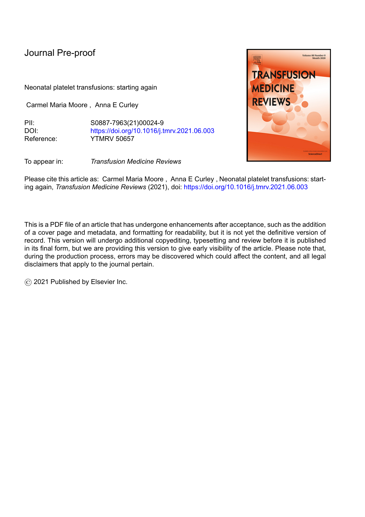Neonatal platelet transfusions: starting again

Carmel Maria Moore , Anna E Curley

PII: S0887-7963(21)00024-9<br>DOI: https://doi.org/10.1016/i.tr <https://doi.org/10.1016/j.tmrv.2021.06.003> Reference: YTMRV 50657

To appear in: *Transfusion Medicine Reviews*

Please cite this article as: Carmel Maria Moore , Anna E Curley , Neonatal platelet transfusions: starting again, *Transfusion Medicine Reviews* (2021), doi: <https://doi.org/10.1016/j.tmrv.2021.06.003>

This is a PDF file of an article that has undergone enhancements after acceptance, such as the addition of a cover page and metadata, and formatting for readability, but it is not yet the definitive version of record. This version will undergo additional copyediting, typesetting and review before it is published in its final form, but we are providing this version to give early visibility of the article. Please note that, during the production process, errors may be discovered which could affect the content, and all legal disclaimers that apply to the journal pertain.

© 2021 Published by Elsevier Inc.

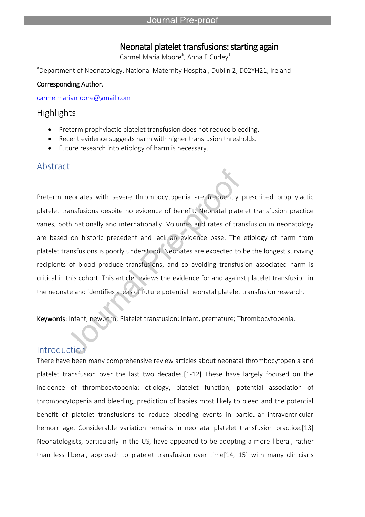## Neonatal platelet transfusions: starting again

Carmel Maria Moore<sup>a</sup>, Anna E Curley<sup>a</sup>

<sup>a</sup>Department of Neonatology, National Maternity Hospital, Dublin 2, D02YH21, Ireland

### Corresponding Author.

carmelmariamoore@gmail.com

## Highlights

- Preterm prophylactic platelet transfusion does not reduce bleeding.
- Recent evidence suggests harm with higher transfusion thresholds.
- Future research into etiology of harm is necessary.

l

# Abstract

Preterm neonates with severe thrombocytopenia are frequently prescribed prophylactic platelet transfusions despite no evidence of benefit. Neonatal platelet transfusion practice varies, both nationally and internationally. Volumes and rates of transfusion in neonatology are based on historic precedent and lack an evidence base. The etiology of harm from platelet transfusions is poorly understood. Neonates are expected to be the longest surviving recipients of blood produce transfusions, and so avoiding transfusion associated harm is critical in this cohort. This article reviews the evidence for and against platelet transfusion in the neonate and identifies areas of future potential neonatal platelet transfusion research.

Keywords: Infant, newborn; Platelet transfusion; Infant, premature; Thrombocytopenia.

# Introduction

There have been many comprehensive review articles about neonatal thrombocytopenia and platelet transfusion over the last two decades.[1-12] These have largely focused on the incidence of thrombocytopenia; etiology, platelet function, potential association of thrombocytopenia and bleeding, prediction of babies most likely to bleed and the potential benefit of platelet transfusions to reduce bleeding events in particular intraventricular hemorrhage. Considerable variation remains in neonatal platelet transfusion practice.[13] Neonatologists, particularly in the US, have appeared to be adopting a more liberal, rather than less liberal, approach to platelet transfusion over time[14, 15] with many clinicians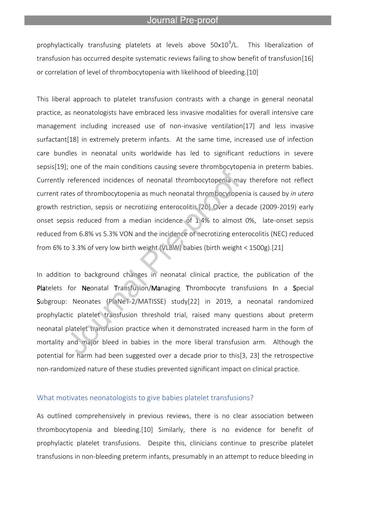prophylactically transfusing platelets at levels above 50x10<sup>9</sup>/L. This liberalization of transfusion has occurred despite systematic reviews failing to show benefit of transfusion[16] or correlation of level of thrombocytopenia with likelihood of bleeding.[10]

l

This liberal approach to platelet transfusion contrasts with a change in general neonatal practice, as neonatologists have embraced less invasive modalities for overall intensive care management including increased use of non-invasive ventilation[17] and less invasive surfactant[18] in extremely preterm infants. At the same time, increased use of infection care bundles in neonatal units worldwide has led to significant reductions in severe sepsis[19]; one of the main conditions causing severe thrombocytopenia in preterm babies. Currently referenced incidences of neonatal thrombocytopenia may therefore not reflect current rates of thrombocytopenia as much neonatal thrombocytopenia is caused by *in utero* growth restriction, sepsis or necrotizing enterocolitis.[20] Over a decade (2009-2019) early onset sepsis reduced from a median incidence of 1.4% to almost 0%, late-onset sepsis reduced from 6.8% vs 5.3% VON and the incidence of necrotizing enterocolitis (NEC) reduced from 6% to 3.3% of very low birth weight (VLBW) babies (birth weight < 1500g).[21]

In addition to background changes in neonatal clinical practice, the publication of the Platelets for Neonatal Transfusion/Managing Thrombocyte transfusions In a Special Subgroup: Neonates (PlaNeT-2/MATISSE) study[22] in 2019, a neonatal randomized prophylactic platelet transfusion threshold trial, raised many questions about preterm neonatal platelet transfusion practice when it demonstrated increased harm in the form of mortality and major bleed in babies in the more liberal transfusion arm. Although the potential for harm had been suggested over a decade prior to this[3, 23] the retrospective non-randomized nature of these studies prevented significant impact on clinical practice.

#### What motivates neonatologists to give babies platelet transfusions?

As outlined comprehensively in previous reviews, there is no clear association between thrombocytopenia and bleeding.[10] Similarly, there is no evidence for benefit of prophylactic platelet transfusions. Despite this, clinicians continue to prescribe platelet transfusions in non-bleeding preterm infants, presumably in an attempt to reduce bleeding in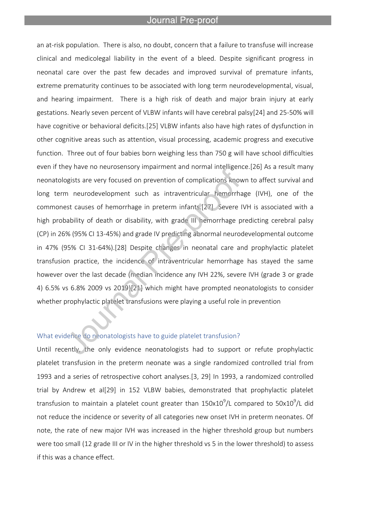l

an at-risk population. There is also, no doubt, concern that a failure to transfuse will increase clinical and medicolegal liability in the event of a bleed. Despite significant progress in neonatal care over the past few decades and improved survival of premature infants, extreme prematurity continues to be associated with long term neurodevelopmental, visual, and hearing impairment. There is a high risk of death and major brain injury at early gestations. Nearly seven percent of VLBW infants will have cerebral palsy[24] and 25-50% will have cognitive or behavioral deficits.[25] VLBW infants also have high rates of dysfunction in other cognitive areas such as attention, visual processing, academic progress and executive function. Three out of four babies born weighing less than 750 g will have school difficulties even if they have no neurosensory impairment and normal intelligence.[26] As a result many neonatologists are very focused on prevention of complications known to affect survival and long term neurodevelopment such as intraventricular hemorrhage (IVH), one of the commonest causes of hemorrhage in preterm infants.[27] Severe IVH is associated with a high probability of death or disability, with grade III hemorrhage predicting cerebral palsy (CP) in 26% (95% CI 13-45%) and grade IV predicting abnormal neurodevelopmental outcome in 47% (95% CI 31-64%).[28] Despite changes in neonatal care and prophylactic platelet transfusion practice, the incidence of intraventricular hemorrhage has stayed the same however over the last decade (median incidence any IVH 22%, severe IVH (grade 3 or grade 4) 6.5% vs 6.8% 2009 vs 2019)[21] which might have prompted neonatologists to consider whether prophylactic platelet transfusions were playing a useful role in prevention

### What evidence do neonatologists have to guide platelet transfusion?

Until recently, the only evidence neonatologists had to support or refute prophylactic platelet transfusion in the preterm neonate was a single randomized controlled trial from 1993 and a series of retrospective cohort analyses.[3, 29] In 1993, a randomized controlled trial by Andrew et al[29] in 152 VLBW babies, demonstrated that prophylactic platelet transfusion to maintain a platelet count greater than 150x10 $^9$ /L compared to 50x10 $^9$ /L did not reduce the incidence or severity of all categories new onset IVH in preterm neonates. Of note, the rate of new major IVH was increased in the higher threshold group but numbers were too small (12 grade III or IV in the higher threshold vs 5 in the lower threshold) to assess if this was a chance effect.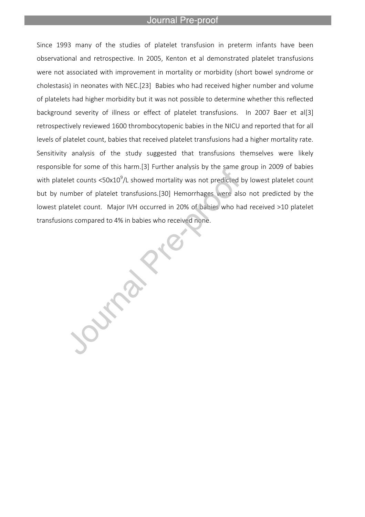l

Since 1993 many of the studies of platelet transfusion in preterm infants have been observational and retrospective. In 2005, Kenton et al demonstrated platelet transfusions were not associated with improvement in mortality or morbidity (short bowel syndrome or cholestasis) in neonates with NEC.[23] Babies who had received higher number and volume of platelets had higher morbidity but it was not possible to determine whether this reflected background severity of illness or effect of platelet transfusions. In 2007 Baer et al[3] retrospectively reviewed 1600 thrombocytopenic babies in the NICU and reported that for all levels of platelet count, babies that received platelet transfusions had a higher mortality rate. Sensitivity analysis of the study suggested that transfusions themselves were likely responsible for some of this harm.[3] Further analysis by the same group in 2009 of babies with platelet counts <50x10 $\textdegree$ /L showed mortality was not predicted by lowest platelet count but by number of platelet transfusions.[30] Hemorrhages were also not predicted by the lowest platelet count. Major IVH occurred in 20% of babies who had received >10 platelet transfusions compared to 4% in babies who received none.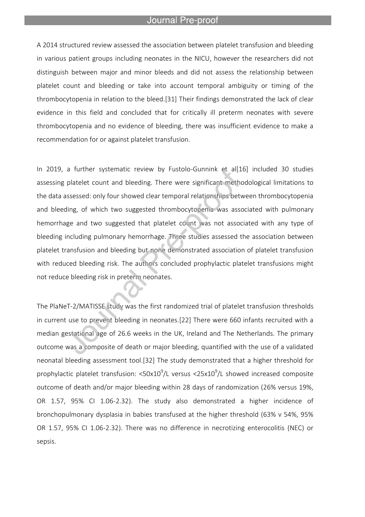l

A 2014 structured review assessed the association between platelet transfusion and bleeding in various patient groups including neonates in the NICU, however the researchers did not distinguish between major and minor bleeds and did not assess the relationship between platelet count and bleeding or take into account temporal ambiguity or timing of the thrombocytopenia in relation to the bleed.[31] Their findings demonstrated the lack of clear evidence in this field and concluded that for critically ill preterm neonates with severe thrombocytopenia and no evidence of bleeding, there was insufficient evidence to make a recommendation for or against platelet transfusion.

In 2019, a further systematic review by Fustolo-Gunnink et al[16] included 30 studies assessing platelet count and bleeding. There were significant methodological limitations to the data assessed: only four showed clear temporal relationships between thrombocytopenia and bleeding, of which two suggested thrombocytopenia was associated with pulmonary hemorrhage and two suggested that platelet count was not associated with any type of bleeding including pulmonary hemorrhage. Three studies assessed the association between platelet transfusion and bleeding but none demonstrated association of platelet transfusion with reduced bleeding risk. The authors concluded prophylactic platelet transfusions might not reduce bleeding risk in preterm neonates.

The PlaNeT-2/MATISSE study was the first randomized trial of platelet transfusion thresholds in current use to prevent bleeding in neonates.[22] There were 660 infants recruited with a median gestational age of 26.6 weeks in the UK, Ireland and The Netherlands. The primary outcome was a composite of death or major bleeding, quantified with the use of a validated neonatal bleeding assessment tool.[32] The study demonstrated that a higher threshold for prophylactic platelet transfusion: <50x10 $^{9}$ /L versus <25x10 $^{9}$ /L showed increased composite outcome of death and/or major bleeding within 28 days of randomization (26% versus 19%, OR 1.57, 95% CI 1.06-2.32). The study also demonstrated a higher incidence of bronchopulmonary dysplasia in babies transfused at the higher threshold (63% v 54%, 95% OR 1.57, 95% CI 1.06-2.32). There was no difference in necrotizing enterocolitis (NEC) or sepsis.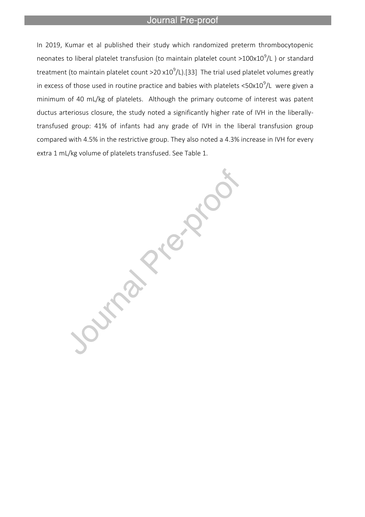l

In 2019, Kumar et al published their study which randomized preterm thrombocytopenic neonates to liberal platelet transfusion (to maintain platelet count >100x10<sup>9</sup>/L) or standard treatment (to maintain platelet count >20 x10<sup>9</sup>/L).[33] The trial used platelet volumes greatly in excess of those used in routine practice and babies with platelets <50x10 $^9$ /L were given a minimum of 40 mL/kg of platelets. Although the primary outcome of interest was patent ductus arteriosus closure, the study noted a significantly higher rate of IVH in the liberallytransfused group: 41% of infants had any grade of IVH in the liberal transfusion group compared with 4.5% in the restrictive group. They also noted a 4.3% increase in IVH for every extra 1 mL/kg volume of platelets transfused. See Table 1.

**POLY**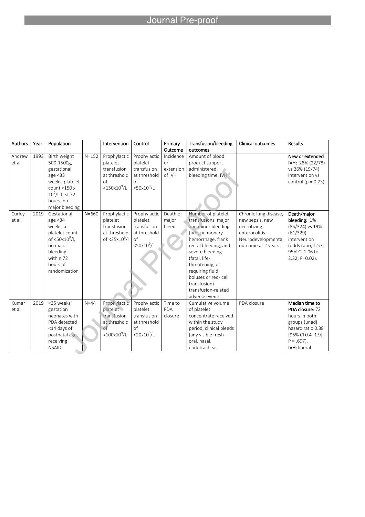l

| <b>Authors</b>  | Year | Population                                                                                                                                                    |           | Intervention                                                                          | Control                                                                                   | Primary                                | Transfusion/bleeding                                                                                                                                                                                                                                                                        | Clinical outcomes                                                                                                    | <b>Results</b>                                                                                                                                 |
|-----------------|------|---------------------------------------------------------------------------------------------------------------------------------------------------------------|-----------|---------------------------------------------------------------------------------------|-------------------------------------------------------------------------------------------|----------------------------------------|---------------------------------------------------------------------------------------------------------------------------------------------------------------------------------------------------------------------------------------------------------------------------------------------|----------------------------------------------------------------------------------------------------------------------|------------------------------------------------------------------------------------------------------------------------------------------------|
|                 |      |                                                                                                                                                               |           |                                                                                       |                                                                                           | Outcome                                | outcomes                                                                                                                                                                                                                                                                                    |                                                                                                                      |                                                                                                                                                |
| Andrew<br>et al | 1993 | Birth weight<br>500-1500g,<br>gestational<br>age $<$ 33<br>weeks, platelet<br>count $<$ 150 $x$<br>$10^9$ /L first 72<br>hours, no<br>major bleeding          | $N = 152$ | Prophylactic<br>platelet<br>transfusion<br>at threshold<br>of<br>$<$ 150x10 $^9$ /L   | Prophylactic<br>platelet<br>transfusion<br>at threshold<br>of<br>$<$ 50x10 $^9$ /L        | Incidence<br>or<br>extension<br>of IVH | Amount of blood<br>product support<br>administered,<br>bleeding time, IVH                                                                                                                                                                                                                   |                                                                                                                      | New or extended<br><b>IVH: 28% (22/78)</b><br>vs 26% (19/74)<br>intervention vs<br>control ( $p = 0.73$ ).                                     |
| Curley<br>et al | 2019 | Gestational<br>age $<$ 34<br>weeks, a<br>platelet count<br>of $<$ 50 $\times$ 10 $^{9}$ /l,<br>no major<br>bleeding<br>within 72<br>hours of<br>randomization | $N = 660$ | Prophylactic<br>platelet<br>transfusion<br>at threshold<br>of $<$ 25x10 $^{\circ}$ /l | Prophylactic<br>platelet<br>transfusion<br>at threshold<br>of<br>$<$ 50x10 $^9$ /L        | Death or<br>major<br>bleed             | Number of platelet<br>transfusions, major<br>and minor bleeding<br>(IVH, pulmonary<br>hemorrhage, frank<br>rectal bleeding, and<br>severe bleeding<br>(fatal, life-<br>threatening, or<br>requiring fluid<br>boluses or red- cell<br>transfusion)<br>transfusion-related<br>adverse events. | Chronic lung disease,<br>new sepsis, new<br>necrotizing<br>enterocolitis<br>Neurodevelopmental<br>outcome at 2 years | Death/major<br>bleeding: 1%<br>(85/324) vs 19%<br>(61/329)<br>intervention<br>(odds ratio, 1.57;<br>95% CI 1.06 to<br>$2.32; P=0.02$ ).        |
| Kumar<br>et al  | 2019 | <35 weeks'<br>gestation<br>neonates with<br>PDA detected<br><14 days of<br>postnatal age,<br>receiving<br><b>NSAID</b>                                        | $N = 44$  | Prophylactic<br>platelet<br>transfusion<br>at threshold<br>$<$ 100x10 $^9$ /L         | Prophylactic<br>platelet<br>transfusion<br>at threshold<br>$\circ$ f<br>$<$ 20x10 $^9$ /L | Time to<br>PDA<br>closure              | Cumulative volume<br>of platelet<br>concentrate received<br>within the study<br>period, clinical bleeds<br>(any visible fresh<br>oral, nasal,<br>endotracheal,                                                                                                                              | PDA closure                                                                                                          | Median time to<br>PDA closure: 72<br>hours in both<br>groups (unadj<br>hazard ratio 0.88<br>[95% CI 0.4-1.9];<br>$P = .697$ ).<br>IVH: liberal |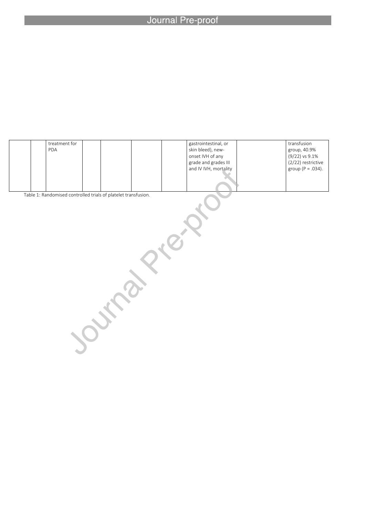l

|                                                                | treatment for<br>PDA |  |  |  |  | gastrointestinal, or<br>skin bleed), new-<br>onset IVH of any<br>grade and grades III<br>and IV IVH, mortality |  | transfusion<br>group, 40.9%<br>(9/22) vs 9.1%<br>(2/22) restrictive<br>group ( $P = .034$ ). |  |  |  |
|----------------------------------------------------------------|----------------------|--|--|--|--|----------------------------------------------------------------------------------------------------------------|--|----------------------------------------------------------------------------------------------|--|--|--|
|                                                                |                      |  |  |  |  |                                                                                                                |  |                                                                                              |  |  |  |
| Table 1: Randomised controlled trials of platelet transfusion. |                      |  |  |  |  |                                                                                                                |  |                                                                                              |  |  |  |
|                                                                |                      |  |  |  |  |                                                                                                                |  |                                                                                              |  |  |  |
|                                                                |                      |  |  |  |  |                                                                                                                |  |                                                                                              |  |  |  |
|                                                                |                      |  |  |  |  |                                                                                                                |  |                                                                                              |  |  |  |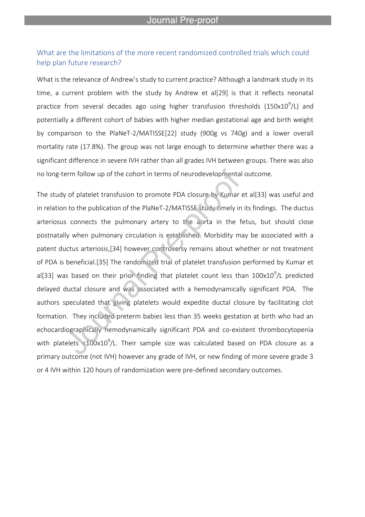### What are the limitations of the more recent randomized controlled trials which could help plan future research?

l

What is the relevance of Andrew's study to current practice? Although a landmark study in its time, a current problem with the study by Andrew et al[29] is that it reflects neonatal practice from several decades ago using higher transfusion thresholds (150x10<sup>9</sup>/L) and potentially a different cohort of babies with higher median gestational age and birth weight by comparison to the PlaNeT-2/MATISSE[22] study (900g vs 740g) and a lower overall mortality rate (17.8%). The group was not large enough to determine whether there was a significant difference in severe IVH rather than all grades IVH between groups. There was also no long-term follow up of the cohort in terms of neurodevelopmental outcome.

The study of platelet transfusion to promote PDA closure by Kumar et al[33] was useful and in relation to the publication of the PlaNeT-2/MATISSE study timely in its findings. The ductus arteriosus connects the pulmonary artery to the aorta in the fetus, but should close postnatally when pulmonary circulation is established. Morbidity may be associated with a patent ductus arteriosis,[34] however controversy remains about whether or not treatment of PDA is beneficial.[35] The randomized trial of platelet transfusion performed by Kumar et al[33] was based on their prior finding that platelet count less than  $100x10^9$ /L predicted delayed ductal closure and was associated with a hemodynamically significant PDA. The authors speculated that giving platelets would expedite ductal closure by facilitating clot formation. They included preterm babies less than 35 weeks gestation at birth who had an echocardiographically hemodynamically significant PDA and co-existent thrombocytopenia with platelets <100x10<sup>9</sup>/L. Their sample size was calculated based on PDA closure as a primary outcome (not IVH) however any grade of IVH, or new finding of more severe grade 3 or 4 IVH within 120 hours of randomization were pre-defined secondary outcomes.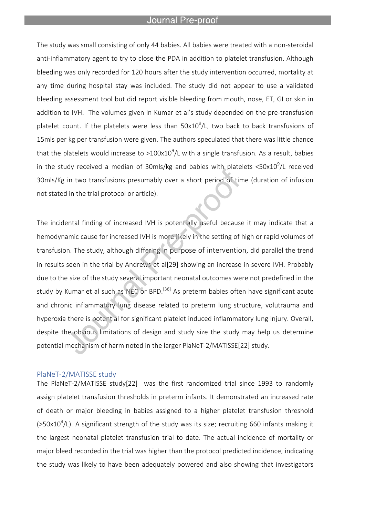l

The study was small consisting of only 44 babies. All babies were treated with a non-steroidal anti-inflammatory agent to try to close the PDA in addition to platelet transfusion. Although bleeding was only recorded for 120 hours after the study intervention occurred, mortality at any time during hospital stay was included. The study did not appear to use a validated bleeding assessment tool but did report visible bleeding from mouth, nose, ET, GI or skin in addition to IVH. The volumes given in Kumar et al's study depended on the pre-transfusion platelet count. If the platelets were less than  $50x10^9$ /L, two back to back transfusions of 15mls per kg per transfusion were given. The authors speculated that there was little chance that the platelets would increase to >100x10<sup>9</sup>/L with a single transfusion. As a result, babies in the study received a median of 30mls/kg and babies with platelets <50x10 $^9$ /L received 30mls/Kg in two transfusions presumably over a short period of time (duration of infusion not stated in the trial protocol or article).

The incidental finding of increased IVH is potentially useful because it may indicate that a hemodynamic cause for increased IVH is more likely in the setting of high or rapid volumes of transfusion. The study, although differing in purpose of intervention, did parallel the trend in results seen in the trial by Andrews et al[29] showing an increase in severe IVH. Probably due to the size of the study several important neonatal outcomes were not predefined in the study by Kumar et al such as NEC or BPD.<sup>[36]</sup> As preterm babies often have significant acute and chronic inflammatory lung disease related to preterm lung structure, volutrauma and hyperoxia there is potential for significant platelet induced inflammatory lung injury. Overall, despite the obvious limitations of design and study size the study may help us determine potential mechanism of harm noted in the larger PlaNeT-2/MATISSE[22] study.

#### PlaNeT-2/MATISSE study

The PlaNeT-2/MATISSE study[22] was the first randomized trial since 1993 to randomly assign platelet transfusion thresholds in preterm infants. It demonstrated an increased rate of death or major bleeding in babies assigned to a higher platelet transfusion threshold  $($ >50x10<sup>9</sup>/L). A significant strength of the study was its size; recruiting 660 infants making it the largest neonatal platelet transfusion trial to date. The actual incidence of mortality or major bleed recorded in the trial was higher than the protocol predicted incidence, indicating the study was likely to have been adequately powered and also showing that investigators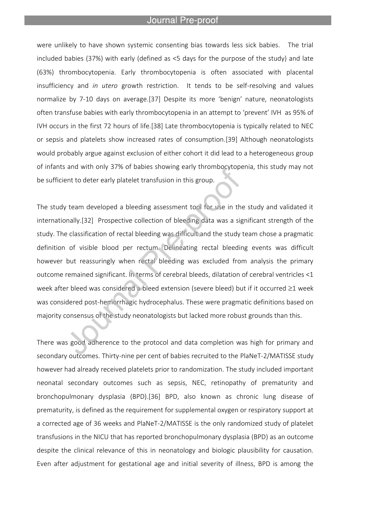l

were unlikely to have shown systemic consenting bias towards less sick babies. The trial included babies (37%) with early (defined as <5 days for the purpose of the study) and late (63%) thrombocytopenia. Early thrombocytopenia is often associated with placental insufficiency and *in utero* growth restriction. It tends to be self-resolving and values normalize by 7-10 days on average.[37] Despite its more 'benign' nature, neonatologists often transfuse babies with early thrombocytopenia in an attempt to 'prevent' IVH as 95% of IVH occurs in the first 72 hours of life.[38] Late thrombocytopenia is typically related to NEC or sepsis and platelets show increased rates of consumption.[39] Although neonatologists would probably argue against exclusion of either cohort it did lead to a heterogeneous group of infants and with only 37% of babies showing early thrombocytopenia, this study may not be sufficient to deter early platelet transfusion in this group.

The study team developed a bleeding assessment tool for use in the study and validated it internationally.[32] Prospective collection of bleeding data was a significant strength of the study. The classification of rectal bleeding was difficult and the study team chose a pragmatic definition of visible blood per rectum. Delineating rectal bleeding events was difficult however but reassuringly when rectal bleeding was excluded from analysis the primary outcome remained significant. In terms of cerebral bleeds, dilatation of cerebral ventricles <1 week after bleed was considered a bleed extension (severe bleed) but if it occurred  $\geq 1$  week was considered post-hemorrhagic hydrocephalus. These were pragmatic definitions based on majority consensus of the study neonatologists but lacked more robust grounds than this.

There was good adherence to the protocol and data completion was high for primary and secondary outcomes. Thirty-nine per cent of babies recruited to the PlaNeT-2/MATISSE study however had already received platelets prior to randomization. The study included important neonatal secondary outcomes such as sepsis, NEC, retinopathy of prematurity and bronchopulmonary dysplasia (BPD).[36] BPD, also known as chronic lung disease of prematurity, is defined as the requirement for supplemental oxygen or respiratory support at a corrected age of 36 weeks and PlaNeT-2/MATISSE is the only randomized study of platelet transfusions in the NICU that has reported bronchopulmonary dysplasia (BPD) as an outcome despite the clinical relevance of this in neonatology and biologic plausibility for causation. Even after adjustment for gestational age and initial severity of illness, BPD is among the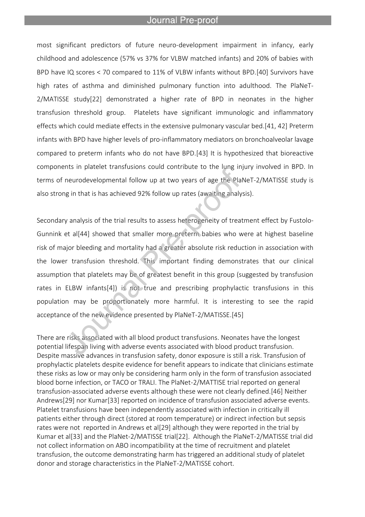l

most significant predictors of future neuro-development impairment in infancy, early childhood and adolescence (57% vs 37% for VLBW matched infants) and 20% of babies with BPD have IQ scores < 70 compared to 11% of VLBW infants without BPD.[40] Survivors have high rates of asthma and diminished pulmonary function into adulthood. The PlaNeT-2/MATISSE study[22] demonstrated a higher rate of BPD in neonates in the higher transfusion threshold group. Platelets have significant immunologic and inflammatory effects which could mediate effects in the extensive pulmonary vascular bed.[41, 42] Preterm infants with BPD have higher levels of pro-inflammatory mediators on bronchoalveolar lavage compared to preterm infants who do not have BPD.[43] It is hypothesized that bioreactive components in platelet transfusions could contribute to the lung injury involved in BPD. In terms of neurodevelopmental follow up at two years of age the PlaNeT-2/MATISSE study is also strong in that is has achieved 92% follow up rates (awaiting analysis).

Secondary analysis of the trial results to assess heterogeneity of treatment effect by Fustolo-Gunnink et al[44] showed that smaller more preterm babies who were at highest baseline risk of major bleeding and mortality had a greater absolute risk reduction in association with the lower transfusion threshold. This important finding demonstrates that our clinical assumption that platelets may be of greatest benefit in this group (suggested by transfusion rates in ELBW infants[4]) is not true and prescribing prophylactic transfusions in this population may be proportionately more harmful. It is interesting to see the rapid acceptance of the new evidence presented by PlaNeT-2/MATISSE.[45]

There are risks associated with all blood product transfusions. Neonates have the longest potential lifespan living with adverse events associated with blood product transfusion. Despite massive advances in transfusion safety, donor exposure is still a risk. Transfusion of prophylactic platelets despite evidence for benefit appears to indicate that clinicians estimate these risks as low or may only be considering harm only in the form of transfusion associated blood borne infection, or TACO or TRALI. The PlaNet-2/MATTISE trial reported on general transfusion-associated adverse events although these were not clearly defined.[46] Neither Andrews[29] nor Kumar[33] reported on incidence of transfusion associated adverse events. Platelet transfusions have been independently associated with infection in critically ill patients either through direct (stored at room temperature) or indirect infection but sepsis rates were not reported in Andrews et al[29] although they were reported in the trial by Kumar et al[33] and the PlaNet-2/MATISSE trial[22]. Although the PlaNeT-2/MATISSE trial did not collect information on ABO incompatibility at the time of recruitment and platelet transfusion, the outcome demonstrating harm has triggered an additional study of platelet donor and storage characteristics in the PlaNeT-2/MATISSE cohort.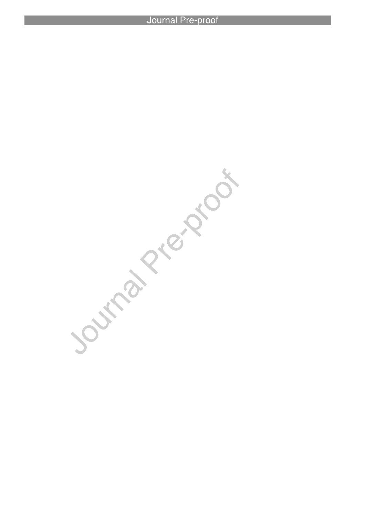Journal Pricklout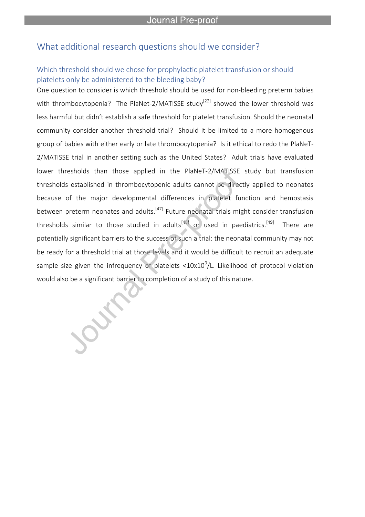## What additional research questions should we consider?

l

### Which threshold should we chose for prophylactic platelet transfusion or should platelets only be administered to the bleeding baby?

One question to consider is which threshold should be used for non-bleeding preterm babies with thrombocytopenia? The PlaNet-2/MATISSE study<sup>[22]</sup> showed the lower threshold was less harmful but didn't establish a safe threshold for platelet transfusion. Should the neonatal community consider another threshold trial? Should it be limited to a more homogenous group of babies with either early or late thrombocytopenia? Is it ethical to redo the PlaNeT-2/MATISSE trial in another setting such as the United States? Adult trials have evaluated lower thresholds than those applied in the PlaNeT-2/MATISSE study but transfusion thresholds established in thrombocytopenic adults cannot be directly applied to neonates because of the major developmental differences in platelet function and hemostasis between preterm neonates and adults.<sup>[47]</sup> Future neonatal trials might consider transfusion thresholds similar to those studied in adults<sup>[48]</sup> or used in paediatrics.<sup>[49]</sup> There are potentially significant barriers to the success of such a trial: the neonatal community may not be ready for a threshold trial at those levels and it would be difficult to recruit an adequate sample size given the infrequency of platelets <10x10<sup>9</sup>/L. Likelihood of protocol violation would also be a significant barrier to completion of a study of this nature.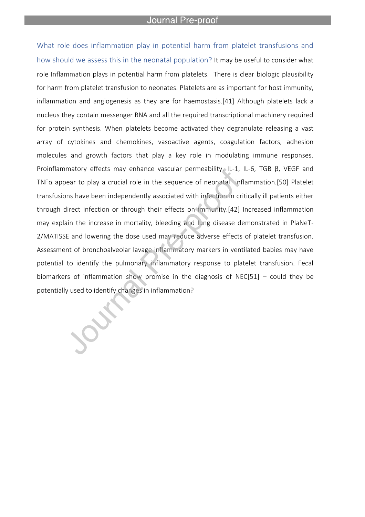l

What role does inflammation play in potential harm from platelet transfusions and how should we assess this in the neonatal population? It may be useful to consider what role Inflammation plays in potential harm from platelets. There is clear biologic plausibility for harm from platelet transfusion to neonates. Platelets are as important for host immunity, inflammation and angiogenesis as they are for haemostasis.[41] Although platelets lack a nucleus they contain messenger RNA and all the required transcriptional machinery required for protein synthesis. When platelets become activated they degranulate releasing a vast array of cytokines and chemokines, vasoactive agents, coagulation factors, adhesion molecules and growth factors that play a key role in modulating immune responses. Proinflammatory effects may enhance vascular permeability. IL-1, IL-6, TGB β, VEGF and TNFα appear to play a crucial role in the sequence of neonatal inflammation.[50] Platelet transfusions have been independently associated with infection in critically ill patients either through direct infection or through their effects on immunity.[42] Increased inflammation may explain the increase in mortality, bleeding and lung disease demonstrated in PlaNeT-2/MATISSE and lowering the dose used may reduce adverse effects of platelet transfusion. Assessment of bronchoalveolar lavage inflammatory markers in ventilated babies may have potential to identify the pulmonary inflammatory response to platelet transfusion. Fecal biomarkers of inflammation show promise in the diagnosis of NEC[51] – could they be potentially used to identify changes in inflammation?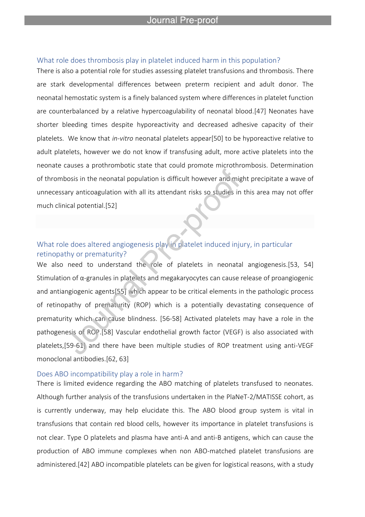#### What role does thrombosis play in platelet induced harm in this population?

l

There is also a potential role for studies assessing platelet transfusions and thrombosis. There are stark developmental differences between preterm recipient and adult donor. The neonatal hemostatic system is a finely balanced system where differences in platelet function are counterbalanced by a relative hypercoagulability of neonatal blood.[47] Neonates have shorter bleeding times despite hyporeactivity and decreased adhesive capacity of their platelets. We know that *in-vitro* neonatal platelets appear[50] to be hyporeactive relative to adult platelets, however we do not know if transfusing adult, more active platelets into the neonate causes a prothrombotic state that could promote microthrombosis. Determination of thrombosis in the neonatal population is difficult however and might precipitate a wave of unnecessary anticoagulation with all its attendant risks so studies in this area may not offer much clinical potential.[52]

### What role does altered angiogenesis play in platelet induced injury, in particular retinopathy or prematurity?

We also need to understand the role of platelets in neonatal angiogenesis.[53, 54] Stimulation of α-granules in platelets and megakaryocytes can cause release of proangiogenic and antiangiogenic agents[55] which appear to be critical elements in the pathologic process of retinopathy of prematurity (ROP) which is a potentially devastating consequence of prematurity which can cause blindness. [56-58] Activated platelets may have a role in the pathogenesis of ROP.[58] Vascular endothelial growth factor (VEGF) is also associated with platelets,[59-61] and there have been multiple studies of ROP treatment using anti-VEGF monoclonal antibodies.[62, 63]

#### Does ABO incompatibility play a role in harm?

There is limited evidence regarding the ABO matching of platelets transfused to neonates. Although further analysis of the transfusions undertaken in the PlaNeT-2/MATISSE cohort, as is currently underway, may help elucidate this. The ABO blood group system is vital in transfusions that contain red blood cells, however its importance in platelet transfusions is not clear. Type O platelets and plasma have anti-A and anti-B antigens, which can cause the production of ABO immune complexes when non ABO-matched platelet transfusions are administered.[42] ABO incompatible platelets can be given for logistical reasons, with a study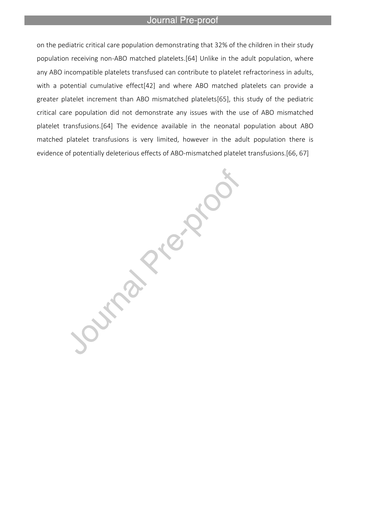l

on the pediatric critical care population demonstrating that 32% of the children in their study population receiving non-ABO matched platelets.[64] Unlike in the adult population, where any ABO incompatible platelets transfused can contribute to platelet refractoriness in adults, with a potential cumulative effect[42] and where ABO matched platelets can provide a greater platelet increment than ABO mismatched platelets[65], this study of the pediatric critical care population did not demonstrate any issues with the use of ABO mismatched platelet transfusions.[64] The evidence available in the neonatal population about ABO matched platelet transfusions is very limited, however in the adult population there is evidence of potentially deleterious effects of ABO-mismatched platelet transfusions.[66, 67]

in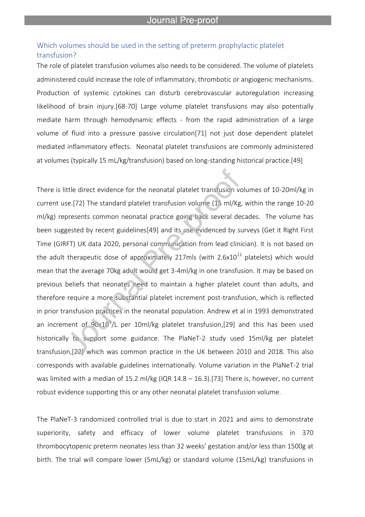## Which volumes should be used in the setting of preterm prophylactic platelet transfusion?

l

The role of platelet transfusion volumes also needs to be considered. The volume of platelets administered could increase the role of inflammatory, thrombotic or angiogenic mechanisms. Production of systemic cytokines can disturb cerebrovascular autoregulation increasing likelihood of brain injury.[68-70] Large volume platelet transfusions may also potentially mediate harm through hemodynamic effects - from the rapid administration of a large volume of fluid into a pressure passive circulation[71] not just dose dependent platelet mediated inflammatory effects. Neonatal platelet transfusions are commonly administered at volumes (typically 15 mL/kg/transfusion) based on long-standing historical practice.[49]

There is little direct evidence for the neonatal platelet transfusion volumes of 10-20ml/kg in current use.[72] The standard platelet transfusion volume (15 ml/Kg, within the range 10-20 ml/kg) represents common neonatal practice going back several decades. The volume has been suggested by recent guidelines[49] and its use evidenced by surveys (Get it Right First Time (GIRFT) UK data 2020, personal communication from lead clinician). It is not based on the adult therapeutic dose of approximately 217mls (with 2.6x10 $^{11}$  platelets) which would mean that the average 70kg adult would get 3-4ml/kg in one transfusion. It may be based on previous beliefs that neonates need to maintain a higher platelet count than adults, and therefore require a more substantial platelet increment post-transfusion, which is reflected in prior transfusion practices in the neonatal population. Andrew et al in 1993 demonstrated an increment of  $90x10^9$ /L per 10ml/kg platelet transfusion,[29] and this has been used historically to support some guidance. The PlaNeT-2 study used 15ml/kg per platelet transfusion,[22] which was common practice in the UK between 2010 and 2018. This also corresponds with available guidelines internationally. Volume variation in the PlaNeT-2 trial was limited with a median of 15.2 ml/kg (IQR 14.8 – 16.3).[73] There is, however, no current robust evidence supporting this or any other neonatal platelet transfusion volume.

The PlaNeT-3 randomized controlled trial is due to start in 2021 and aims to demonstrate superiority, safety and efficacy of lower volume platelet transfusions in 370 thrombocytopenic preterm neonates less than 32 weeks' gestation and/or less than 1500g at birth. The trial will compare lower (5mL/kg) or standard volume (15mL/kg) transfusions in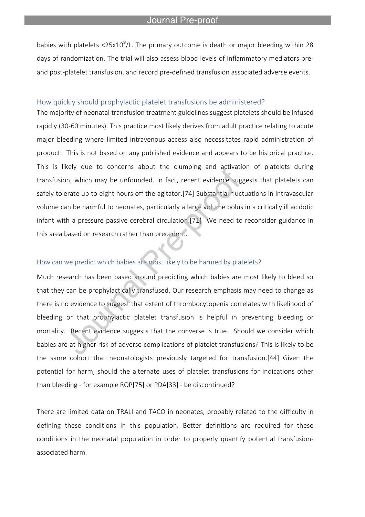babies with platelets <25x10<sup>9</sup>/L. The primary outcome is death or major bleeding within 28 days of randomization. The trial will also assess blood levels of inflammatory mediators preand post-platelet transfusion, and record pre-defined transfusion associated adverse events.

#### How quickly should prophylactic platelet transfusions be administered?

l

The majority of neonatal transfusion treatment guidelines suggest platelets should be infused rapidly (30-60 minutes). This practice most likely derives from adult practice relating to acute major bleeding where limited intravenous access also necessitates rapid administration of product. This is not based on any published evidence and appears to be historical practice. This is likely due to concerns about the clumping and activation of platelets during transfusion, which may be unfounded. In fact, recent evidence suggests that platelets can safely tolerate up to eight hours off the agitator.[74] Substantial fluctuations in intravascular volume can be harmful to neonates, particularly a large volume bolus in a critically ill acidotic infant with a pressure passive cerebral circulation.[71] We need to reconsider guidance in this area based on research rather than precedent.

#### How can we predict which babies are most likely to be harmed by platelets?

Much research has been based around predicting which babies are most likely to bleed so that they can be prophylactically transfused. Our research emphasis may need to change as there is no evidence to suggest that extent of thrombocytopenia correlates with likelihood of bleeding or that prophylactic platelet transfusion is helpful in preventing bleeding or mortality. Recent evidence suggests that the converse is true. Should we consider which babies are at higher risk of adverse complications of platelet transfusions? This is likely to be the same cohort that neonatologists previously targeted for transfusion.[44] Given the potential for harm, should the alternate uses of platelet transfusions for indications other than bleeding - for example ROP[75] or PDA[33] - be discontinued?

There are limited data on TRALI and TACO in neonates, probably related to the difficulty in defining these conditions in this population. Better definitions are required for these conditions in the neonatal population in order to properly quantify potential transfusionassociated harm.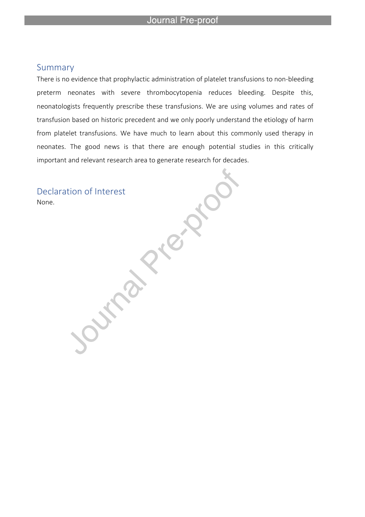l

### Summary

There is no evidence that prophylactic administration of platelet transfusions to non-bleeding preterm neonates with severe thrombocytopenia reduces bleeding. Despite this, neonatologists frequently prescribe these transfusions. We are using volumes and rates of transfusion based on historic precedent and we only poorly understand the etiology of harm from platelet transfusions. We have much to learn about this commonly used therapy in neonates. The good news is that there are enough potential studies in this critically important and relevant research area to generate research for decades.

Declaration of Interest None.

Inde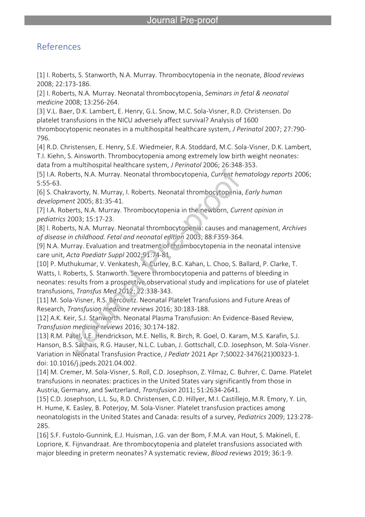# References

[1] I. Roberts, S. Stanworth, N.A. Murray. Thrombocytopenia in the neonate, *Blood reviews* 2008; 22:173-186.

[2] I. Roberts, N.A. Murray. Neonatal thrombocytopenia, *Seminars in fetal & neonatal medicine* 2008; 13:256-264.

l

[3] V.L. Baer, D.K. Lambert, E. Henry, G.L. Snow, M.C. Sola-Visner, R.D. Christensen. Do platelet transfusions in the NICU adversely affect survival? Analysis of 1600

thrombocytopenic neonates in a multihospital healthcare system, *J Perinatol* 2007; 27:790- 796.

[4] R.D. Christensen, E. Henry, S.E. Wiedmeier, R.A. Stoddard, M.C. Sola-Visner, D.K. Lambert, T.I. Kiehn, S. Ainsworth. Thrombocytopenia among extremely low birth weight neonates: data from a multihospital healthcare system, *J Perinatol* 2006; 26:348-353.

[5] I.A. Roberts, N.A. Murray. Neonatal thrombocytopenia, *Current hematology reports* 2006; 5:55-63.

[6] S. Chakravorty, N. Murray, I. Roberts. Neonatal thrombocytopenia, *Early human development* 2005; 81:35-41.

[7] I.A. Roberts, N.A. Murray. Thrombocytopenia in the newborn, *Current opinion in pediatrics* 2003; 15:17-23.

[8] I. Roberts, N.A. Murray. Neonatal thrombocytopenia: causes and management, *Archives of disease in childhood. Fetal and neonatal edition* 2003; 88:F359-364.

[9] N.A. Murray. Evaluation and treatment of thrombocytopenia in the neonatal intensive care unit, *Acta Paediatr Suppl* 2002;91:74-81.

[10] P. Muthukumar, V. Venkatesh, A. Curley, B.C. Kahan, L. Choo, S. Ballard, P. Clarke, T. Watts, I. Roberts, S. Stanworth. Severe thrombocytopenia and patterns of bleeding in neonates: results from a prospective observational study and implications for use of platelet transfusions, *Transfus Med* 2012; 22:338-343.

[11] M. Sola-Visner, R.S. Bercovitz. Neonatal Platelet Transfusions and Future Areas of Research, *Transfusion medicine reviews* 2016; 30:183-188.

[12] A.K. Keir, S.J. Stanworth. Neonatal Plasma Transfusion: An Evidence-Based Review, *Transfusion medicine reviews* 2016; 30:174-182.

[13] R.M. Patel, J.E. Hendrickson, M.E. Nellis, R. Birch, R. Goel, O. Karam, M.S. Karafin, S.J. Hanson, B.S. Sachais, R.G. Hauser, N.L.C. Luban, J. Gottschall, C.D. Josephson, M. Sola-Visner. Variation in Neonatal Transfusion Practice, *J Pediatr* 2021 Apr 7;S0022-3476(21)00323-1. doi: 10.1016/j.jpeds.2021.04.002.

[14] M. Cremer, M. Sola-Visner, S. Roll, C.D. Josephson, Z. Yilmaz, C. Buhrer, C. Dame. Platelet transfusions in neonates: practices in the United States vary significantly from those in Austria, Germany, and Switzerland, *Transfusion* 2011; 51:2634-2641.

[15] C.D. Josephson, L.L. Su, R.D. Christensen, C.D. Hillyer, M.I. Castillejo, M.R. Emory, Y. Lin, H. Hume, K. Easley, B. Poterjoy, M. Sola-Visner. Platelet transfusion practices among neonatologists in the United States and Canada: results of a survey, *Pediatrics* 2009; 123:278- 285.

[16] S.F. Fustolo-Gunnink, E.J. Huisman, J.G. van der Bom, F.M.A. van Hout, S. Makineli, E. Lopriore, K. Fijnvandraat. Are thrombocytopenia and platelet transfusions associated with major bleeding in preterm neonates? A systematic review, *Blood reviews* 2019; 36:1-9.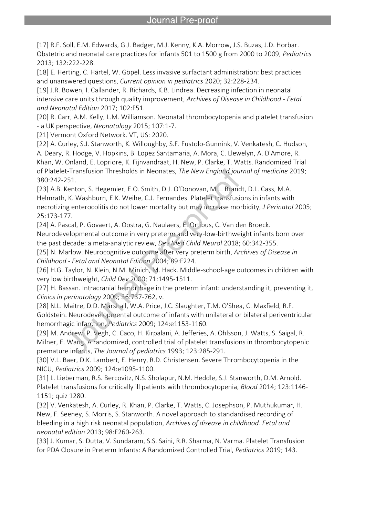[17] R.F. Soll, E.M. Edwards, G.J. Badger, M.J. Kenny, K.A. Morrow, J.S. Buzas, J.D. Horbar. Obstetric and neonatal care practices for infants 501 to 1500 g from 2000 to 2009, *Pediatrics* 2013; 132:222-228.

[18] E. Herting, C. Härtel, W. Göpel. Less invasive surfactant administration: best practices and unanswered questions, *Current opinion in pediatrics* 2020; 32:228-234.

[19] J.R. Bowen, I. Callander, R. Richards, K.B. Lindrea. Decreasing infection in neonatal intensive care units through quality improvement, *Archives of Disease in Childhood - Fetal and Neonatal Edition* 2017; 102:F51.

[20] R. Carr, A.M. Kelly, L.M. Williamson. Neonatal thrombocytopenia and platelet transfusion - a UK perspective, *Neonatology* 2015; 107:1-7.

[21] Vermont Oxford Network. VT, US: 2020.

l

[22] A. Curley, S.J. Stanworth, K. Willoughby, S.F. Fustolo-Gunnink, V. Venkatesh, C. Hudson, A. Deary, R. Hodge, V. Hopkins, B. Lopez Santamaria, A. Mora, C. Llewelyn, A. D'Amore, R. Khan, W. Onland, E. Lopriore, K. Fijnvandraat, H. New, P. Clarke, T. Watts. Randomized Trial of Platelet-Transfusion Thresholds in Neonates, *The New England journal of medicine* 2019; 380:242-251.

[23] A.B. Kenton, S. Hegemier, E.O. Smith, D.J. O'Donovan, M.L. Brandt, D.L. Cass, M.A. Helmrath, K. Washburn, E.K. Weihe, C.J. Fernandes. Platelet transfusions in infants with necrotizing enterocolitis do not lower mortality but may increase morbidity, *J Perinatol* 2005; 25:173-177.

[24] A. Pascal, P. Govaert, A. Oostra, G. Naulaers, E. Ortibus, C. Van den Broeck. Neurodevelopmental outcome in very preterm and very-low-birthweight infants born over the past decade: a meta-analytic review, *Dev Med Child Neurol* 2018; 60:342-355.

[25] N. Marlow. Neurocognitive outcome after very preterm birth, *Archives of Disease in Childhood - Fetal and Neonatal Edition* 2004; 89:F224.

[26] H.G. Taylor, N. Klein, N.M. Minich, M. Hack. Middle-school-age outcomes in children with very low birthweight, *Child Dev* 2000; 71:1495-1511.

[27] H. Bassan. Intracranial hemorrhage in the preterm infant: understanding it, preventing it, *Clinics in perinatology* 2009; 36:737-762, v.

[28] N.L. Maitre, D.D. Marshall, W.A. Price, J.C. Slaughter, T.M. O'Shea, C. Maxfield, R.F. Goldstein. Neurodevelopmental outcome of infants with unilateral or bilateral periventricular hemorrhagic infarction, *Pediatrics* 2009; 124:e1153-1160.

[29] M. Andrew, P. Vegh, C. Caco, H. Kirpalani, A. Jefferies, A. Ohlsson, J. Watts, S. Saigal, R. Milner, E. Wang. A randomized, controlled trial of platelet transfusions in thrombocytopenic premature infants, *The Journal of pediatrics* 1993; 123:285-291.

[30] V.L. Baer, D.K. Lambert, E. Henry, R.D. Christensen. Severe Thrombocytopenia in the NICU, *Pediatrics* 2009; 124:e1095-1100.

[31] L. Lieberman, R.S. Bercovitz, N.S. Sholapur, N.M. Heddle, S.J. Stanworth, D.M. Arnold. Platelet transfusions for critically ill patients with thrombocytopenia, *Blood* 2014; 123:1146- 1151; quiz 1280.

[32] V. Venkatesh, A. Curley, R. Khan, P. Clarke, T. Watts, C. Josephson, P. Muthukumar, H. New, F. Seeney, S. Morris, S. Stanworth. A novel approach to standardised recording of bleeding in a high risk neonatal population, *Archives of disease in childhood. Fetal and neonatal edition* 2013; 98:F260-263.

[33] J. Kumar, S. Dutta, V. Sundaram, S.S. Saini, R.R. Sharma, N. Varma. Platelet Transfusion for PDA Closure in Preterm Infants: A Randomized Controlled Trial, *Pediatrics* 2019; 143.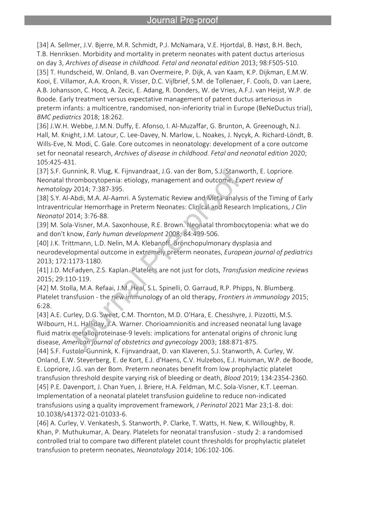l

[34] A. Sellmer, J.V. Bjerre, M.R. Schmidt, P.J. McNamara, V.E. Hjortdal, B. Høst, B.H. Bech, T.B. Henriksen. Morbidity and mortality in preterm neonates with patent ductus arteriosus on day 3, *Archives of disease in childhood. Fetal and neonatal edition* 2013; 98:F505-510. [35] T. Hundscheid, W. Onland, B. van Overmeire, P. Dijk, A. van Kaam, K.P. Dijkman, E.M.W. Kooi, E. Villamor, A.A. Kroon, R. Visser, D.C. Vijlbrief, S.M. de Tollenaer, F. Cools, D. van Laere, A.B. Johansson, C. Hocq, A. Zecic, E. Adang, R. Donders, W. de Vries, A.F.J. van Heijst, W.P. de Boode. Early treatment versus expectative management of patent ductus arteriosus in preterm infants: a multicentre, randomised, non-inferiority trial in Europe (BeNeDuctus trial), *BMC pediatrics* 2018; 18:262.

[36] J.W.H. Webbe, J.M.N. Duffy, E. Afonso, I. Al-Muzaffar, G. Brunton, A. Greenough, N.J. Hall, M. Knight, J.M. Latour, C. Lee-Davey, N. Marlow, L. Noakes, J. Nycyk, A. Richard-Löndt, B. Wills-Eve, N. Modi, C. Gale. Core outcomes in neonatology: development of a core outcome set for neonatal research, *Archives of disease in childhood. Fetal and neonatal edition* 2020; 105:425-431.

[37] S.F. Gunnink, R. Vlug, K. Fijnvandraat, J.G. van der Bom, S.J. Stanworth, E. Lopriore. Neonatal thrombocytopenia: etiology, management and outcome, *Expert review of hematology* 2014; 7:387-395.

[38] S.Y. Al-Abdi, M.A. Al-Aamri. A Systematic Review and Meta-analysis of the Timing of Early Intraventricular Hemorrhage in Preterm Neonates: Clinical and Research Implications, *J Clin Neonatol* 2014; 3:76-88.

[39] M. Sola-Visner, M.A. Saxonhouse, R.E. Brown. Neonatal thrombocytopenia: what we do and don't know, *Early human development* 2008; 84:499-506.

[40] J.K. Trittmann, L.D. Nelin, M.A. Klebanoff. Bronchopulmonary dysplasia and neurodevelopmental outcome in extremely preterm neonates, *European journal of pediatrics* 2013; 172:1173-1180.

[41] J.D. McFadyen, Z.S. Kaplan. Platelets are not just for clots, *Transfusion medicine reviews* 2015; 29:110-119.

[42] M. Stolla, M.A. Refaai, J.M. Heal, S.L. Spinelli, O. Garraud, R.P. Phipps, N. Blumberg. Platelet transfusion - the new immunology of an old therapy, *Frontiers in immunology* 2015; 6:28.

[43] A.E. Curley, D.G. Sweet, C.M. Thornton, M.D. O'Hara, E. Chesshyre, J. Pizzotti, M.S. Wilbourn, H.L. Halliday, J.A. Warner. Chorioamnionitis and increased neonatal lung lavage fluid matrix metalloproteinase-9 levels: implications for antenatal origins of chronic lung disease, *American journal of obstetrics and gynecology* 2003; 188:871-875.

[44] S.F. Fustolo-Gunnink, K. Fijnvandraat, D. van Klaveren, S.J. Stanworth, A. Curley, W. Onland, E.W. Steyerberg, E. de Kort, E.J. d'Haens, C.V. Hulzebos, E.J. Huisman, W.P. de Boode, E. Lopriore, J.G. van der Bom. Preterm neonates benefit from low prophylactic platelet transfusion threshold despite varying risk of bleeding or death, *Blood* 2019; 134:2354-2360. [45] P.E. Davenport, J. Chan Yuen, J. Briere, H.A. Feldman, M.C. Sola-Visner, K.T. Leeman. Implementation of a neonatal platelet transfusion guideline to reduce non-indicated transfusions using a quality improvement framework, *J Perinatol* 2021 Mar 23;1-8. doi: 10.1038/s41372-021-01033-6.

[46] A. Curley, V. Venkatesh, S. Stanworth, P. Clarke, T. Watts, H. New, K. Willoughby, R. Khan, P. Muthukumar, A. Deary. Platelets for neonatal transfusion - study 2: a randomised controlled trial to compare two different platelet count thresholds for prophylactic platelet transfusion to preterm neonates, *Neonatology* 2014; 106:102-106.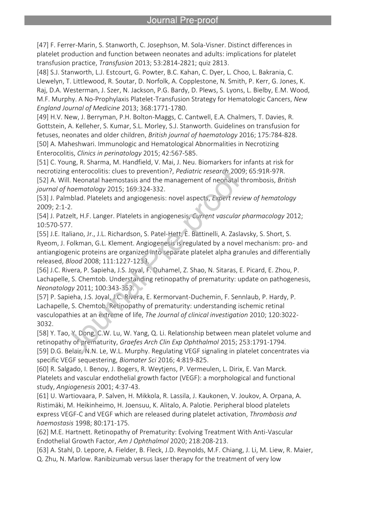[47] F. Ferrer-Marin, S. Stanworth, C. Josephson, M. Sola-Visner. Distinct differences in platelet production and function between neonates and adults: implications for platelet transfusion practice, *Transfusion* 2013; 53:2814-2821; quiz 2813.

l

[48] S.J. Stanworth, L.J. Estcourt, G. Powter, B.C. Kahan, C. Dyer, L. Choo, L. Bakrania, C. Llewelyn, T. Littlewood, R. Soutar, D. Norfolk, A. Copplestone, N. Smith, P. Kerr, G. Jones, K. Raj, D.A. Westerman, J. Szer, N. Jackson, P.G. Bardy, D. Plews, S. Lyons, L. Bielby, E.M. Wood, M.F. Murphy. A No-Prophylaxis Platelet-Transfusion Strategy for Hematologic Cancers, *New England Journal of Medicine* 2013; 368:1771-1780.

[49] H.V. New, J. Berryman, P.H. Bolton-Maggs, C. Cantwell, E.A. Chalmers, T. Davies, R. Gottstein, A. Kelleher, S. Kumar, S.L. Morley, S.J. Stanworth. Guidelines on transfusion for fetuses, neonates and older children, *British journal of haematology* 2016; 175:784-828. [50] A. Maheshwari. Immunologic and Hematological Abnormalities in Necrotizing Enterocolitis, *Clinics in perinatology* 2015; 42:567-585.

[51] C. Young, R. Sharma, M. Handfield, V. Mai, J. Neu. Biomarkers for infants at risk for necrotizing enterocolitis: clues to prevention?, *Pediatric research* 2009; 65:91R-97R. [52] A. Will. Neonatal haemostasis and the management of neonatal thrombosis, *British journal of haematology* 2015; 169:324-332.

[53] J. Palmblad. Platelets and angiogenesis: novel aspects, *Expert review of hematology* 2009; 2:1-2.

[54] J. Patzelt, H.F. Langer. Platelets in angiogenesis, *Current vascular pharmacology* 2012; 10:570-577.

[55] J.E. Italiano, Jr., J.L. Richardson, S. Patel-Hett, E. Battinelli, A. Zaslavsky, S. Short, S. Ryeom, J. Folkman, G.L. Klement. Angiogenesis is regulated by a novel mechanism: pro- and antiangiogenic proteins are organized into separate platelet alpha granules and differentially released, *Blood* 2008; 111:1227-1233.

[56] J.C. Rivera, P. Sapieha, J.S. Joyal, F. Duhamel, Z. Shao, N. Sitaras, E. Picard, E. Zhou, P. Lachapelle, S. Chemtob. Understanding retinopathy of prematurity: update on pathogenesis, *Neonatology* 2011; 100:343-353.

[57] P. Sapieha, J.S. Joyal, J.C. Rivera, E. Kermorvant-Duchemin, F. Sennlaub, P. Hardy, P. Lachapelle, S. Chemtob. Retinopathy of prematurity: understanding ischemic retinal vasculopathies at an extreme of life, *The Journal of clinical investigation* 2010; 120:3022- 3032.

[58] Y. Tao, Y. Dong, C.W. Lu, W. Yang, Q. Li. Relationship between mean platelet volume and retinopathy of prematurity, *Graefes Arch Clin Exp Ophthalmol* 2015; 253:1791-1794. [59] D.G. Belair, N.N. Le, W.L. Murphy. Regulating VEGF signaling in platelet concentrates via specific VEGF sequestering, *Biomater Sci* 2016; 4:819-825.

[60] R. Salgado, I. Benoy, J. Bogers, R. Weytjens, P. Vermeulen, L. Dirix, E. Van Marck. Platelets and vascular endothelial growth factor (VEGF): a morphological and functional study, *Angiogenesis* 2001; 4:37-43.

[61] U. Wartiovaara, P. Salven, H. Mikkola, R. Lassila, J. Kaukonen, V. Joukov, A. Orpana, A. Ristimäki, M. Heikinheimo, H. Joensuu, K. Alitalo, A. Palotie. Peripheral blood platelets express VEGF-C and VEGF which are released during platelet activation, *Thrombosis and haemostasis* 1998; 80:171-175.

[62] M.E. Hartnett. Retinopathy of Prematurity: Evolving Treatment With Anti-Vascular Endothelial Growth Factor, *Am J Ophthalmol* 2020; 218:208-213.

[63] A. Stahl, D. Lepore, A. Fielder, B. Fleck, J.D. Reynolds, M.F. Chiang, J. Li, M. Liew, R. Maier, Q. Zhu, N. Marlow. Ranibizumab versus laser therapy for the treatment of very low